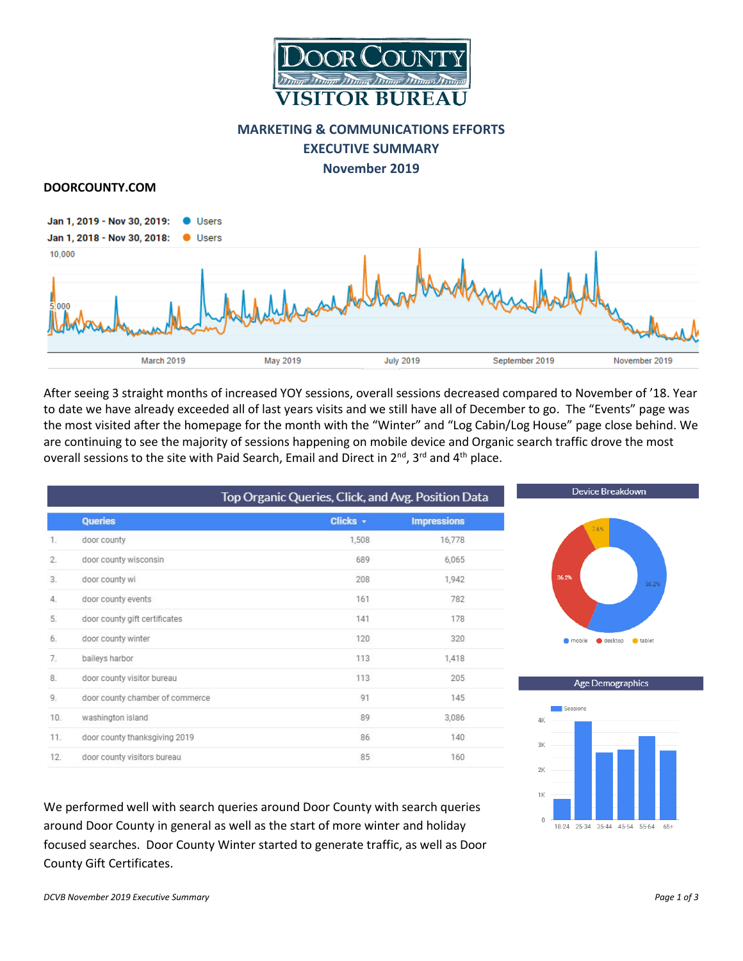

# **MARKETING & COMMUNICATIONS EFFORTS**

**EXECUTIVE SUMMARY**

**November 2019**

#### **DOORCOUNTY.COM**



After seeing 3 straight months of increased YOY sessions, overall sessions decreased compared to November of '18. Year to date we have already exceeded all of last years visits and we still have all of December to go. The "Events" page was the most visited after the homepage for the month with the "Winter" and "Log Cabin/Log House" page close behind. We are continuing to see the majority of sessions happening on mobile device and Organic search traffic drove the most overall sessions to the site with Paid Search, Email and Direct in 2<sup>nd</sup>, 3<sup>rd</sup> and 4<sup>th</sup> place.

|     |                                 | Top Organic Queries, Click, and Avg. Position Data |                    |  |  |  |
|-----|---------------------------------|----------------------------------------------------|--------------------|--|--|--|
|     | <b>Queries</b>                  | Clicks +                                           | <b>Impressions</b> |  |  |  |
| 1.  | door county                     | 1,508                                              | 16,778             |  |  |  |
| 2.  | door county wisconsin           | 689                                                | 6,065              |  |  |  |
| 3.  | door county wi                  | 208                                                | 1.942              |  |  |  |
| 4.  | door county events              | 161                                                | 782                |  |  |  |
| 5.  | door county gift certificates   | 141                                                | 178                |  |  |  |
| 6.  | door county winter              | 120                                                | 320                |  |  |  |
| 7.  | baileys harbor                  | 113                                                | 1,418              |  |  |  |
| 8.  | door county visitor bureau      | 113                                                | 205                |  |  |  |
| 9.  | door county chamber of commerce | 91                                                 | 145                |  |  |  |
| 10. | washington island               | 89                                                 | 3,086              |  |  |  |
| 11. | door county thanksgiving 2019   | 86                                                 | 140                |  |  |  |
| 12. | door county visitors bureau     | 85                                                 | 160                |  |  |  |





We performed well with search queries around Door County with search queries around Door County in general as well as the start of more winter and holiday focused searches. Door County Winter started to generate traffic, as well as Door County Gift Certificates.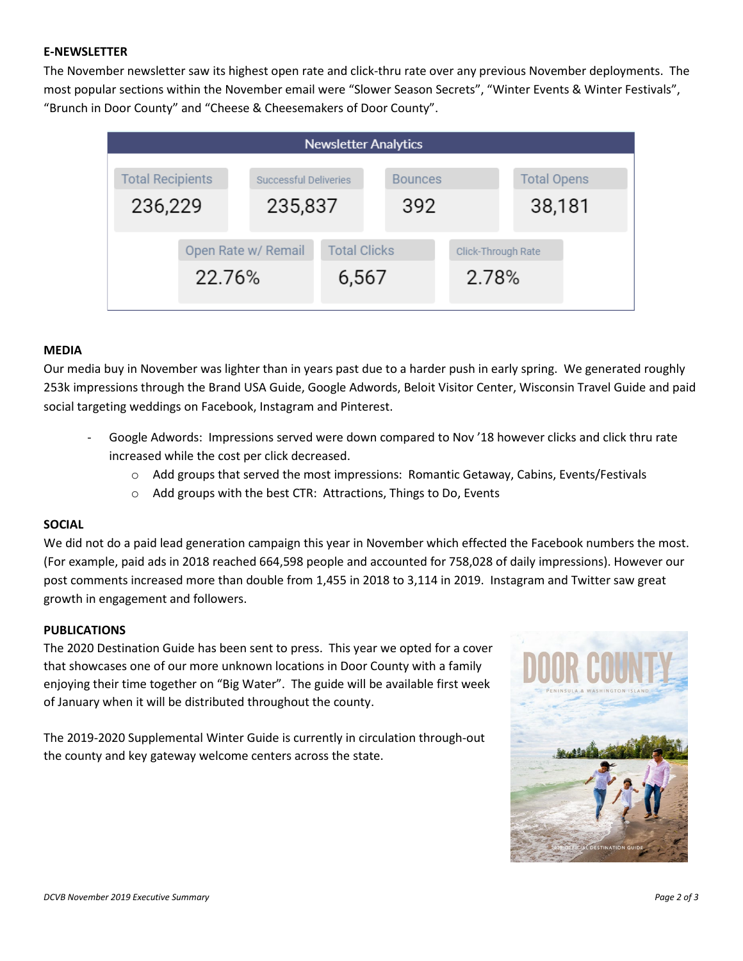# **E-NEWSLETTER**

The November newsletter saw its highest open rate and click-thru rate over any previous November deployments. The most popular sections within the November email were "Slower Season Secrets", "Winter Events & Winter Festivals", "Brunch in Door County" and "Cheese & Cheesemakers of Door County".

| <b>Newsletter Analytics</b>   |  |                              |                              |  |                             |                    |  |  |  |  |
|-------------------------------|--|------------------------------|------------------------------|--|-----------------------------|--------------------|--|--|--|--|
| <b>Total Recipients</b>       |  |                              | <b>Successful Deliveries</b> |  | <b>Bounces</b>              | <b>Total Opens</b> |  |  |  |  |
| 236,229                       |  |                              | 235,837                      |  | 392                         | 38,181             |  |  |  |  |
| Open Rate w/ Remail<br>22.76% |  | <b>Total Clicks</b><br>6,567 |                              |  | Click-Through Rate<br>2.78% |                    |  |  |  |  |

#### **MEDIA**

Our media buy in November was lighter than in years past due to a harder push in early spring. We generated roughly 253k impressions through the Brand USA Guide, Google Adwords, Beloit Visitor Center, Wisconsin Travel Guide and paid social targeting weddings on Facebook, Instagram and Pinterest.

- Google Adwords: Impressions served were down compared to Nov '18 however clicks and click thru rate increased while the cost per click decreased.
	- $\circ$  Add groups that served the most impressions: Romantic Getaway, Cabins, Events/Festivals
	- o Add groups with the best CTR: Attractions, Things to Do, Events

# **SOCIAL**

We did not do a paid lead generation campaign this year in November which effected the Facebook numbers the most. (For example, paid ads in 2018 reached 664,598 people and accounted for 758,028 of daily impressions). However our post comments increased more than double from 1,455 in 2018 to 3,114 in 2019. Instagram and Twitter saw great growth in engagement and followers.

## **PUBLICATIONS**

The 2020 Destination Guide has been sent to press. This year we opted for a cover that showcases one of our more unknown locations in Door County with a family enjoying their time together on "Big Water". The guide will be available first week of January when it will be distributed throughout the county.

The 2019-2020 Supplemental Winter Guide is currently in circulation through-out the county and key gateway welcome centers across the state.